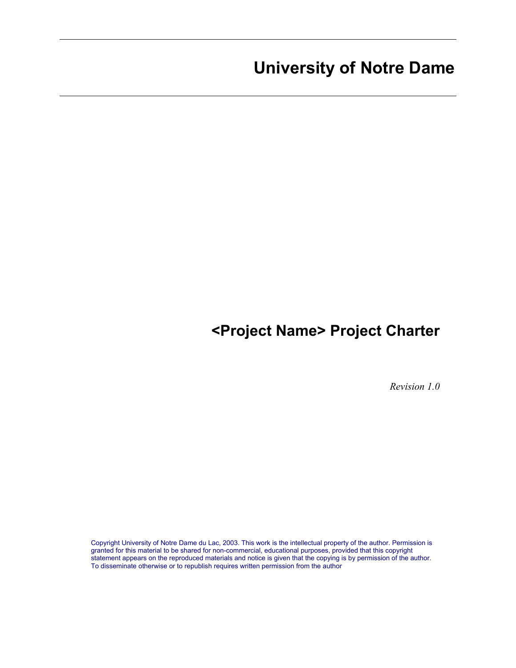# **<Project Name> Project Charter**

*Revision 1.0* 

Copyright University of Notre Dame du Lac, 2003. This work is the intellectual property of the author. Permission is granted for this material to be shared for non-commercial, educational purposes, provided that this copyright statement appears on the reproduced materials and notice is given that the copying is by permission of the author. To disseminate otherwise or to republish requires written permission from the author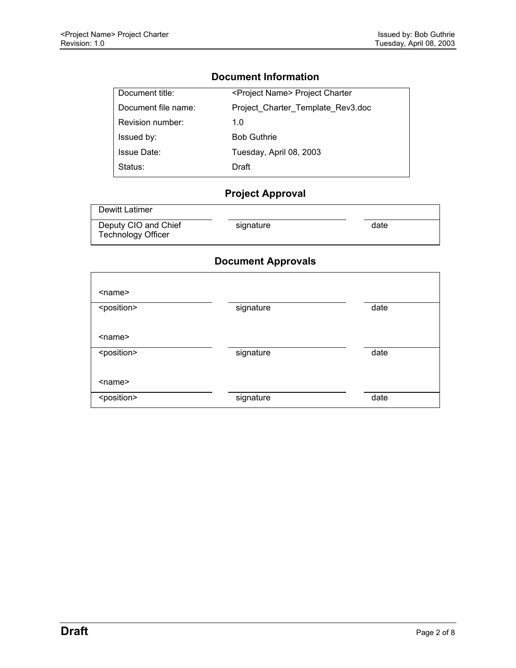$\mathcal{L}$ 

# **Document Information**

| Document title:     | <project name=""> Project Charter</project> |
|---------------------|---------------------------------------------|
| Document file name: | Project Charter Template Rev3.doc           |
| Revision number:    | 1.0                                         |
| Issued by:          | <b>Bob Guthrie</b>                          |
| <b>Issue Date:</b>  | Tuesday, April 08, 2003                     |
| Status:             | Draft                                       |

# **Project Approval**

| Dewitt Latimer                                    |           |      |
|---------------------------------------------------|-----------|------|
| Deputy CIO and Chief<br><b>Technology Officer</b> | signature | date |

# **Document Approvals**

| <name></name>         |           |      |
|-----------------------|-----------|------|
| <position></position> | signature | date |
| $name$                |           |      |
| <position></position> | signature | date |
| $name$                |           |      |
| <position></position> | signature | date |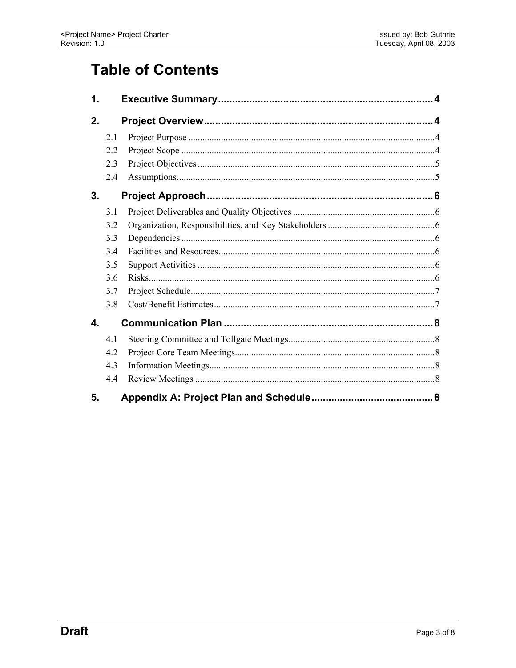# **Table of Contents**

| 1.           |     |  |
|--------------|-----|--|
| 2.           |     |  |
|              | 2.1 |  |
|              | 22  |  |
|              | 2.3 |  |
|              | 2.4 |  |
| 3.           |     |  |
|              | 3.1 |  |
|              | 3.2 |  |
|              | 3.3 |  |
|              | 34  |  |
|              | 3.5 |  |
|              | 3.6 |  |
|              | 3.7 |  |
|              | 3.8 |  |
| $\mathbf{A}$ |     |  |
|              | 4.1 |  |
|              | 4.2 |  |
|              | 4.3 |  |
|              | 4.4 |  |
| 5.           |     |  |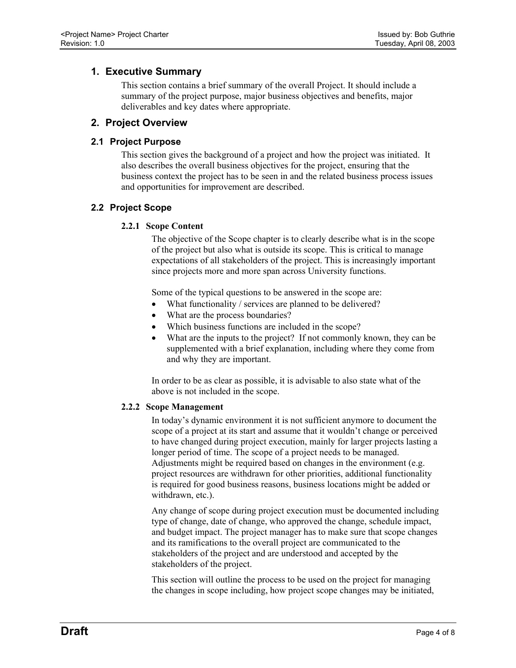# <span id="page-3-0"></span>**1. Executive Summary**

This section contains a brief summary of the overall Project. It should include a summary of the project purpose, major business objectives and benefits, major deliverables and key dates where appropriate.

# **2. Project Overview**

# **2.1 Project Purpose**

This section gives the background of a project and how the project was initiated. It also describes the overall business objectives for the project, ensuring that the business context the project has to be seen in and the related business process issues and opportunities for improvement are described.

# **2.2 Project Scope**

# **2.2.1 Scope Content**

The objective of the Scope chapter is to clearly describe what is in the scope of the project but also what is outside its scope. This is critical to manage expectations of all stakeholders of the project. This is increasingly important since projects more and more span across University functions.

Some of the typical questions to be answered in the scope are:

- What functionality / services are planned to be delivered?
- What are the process boundaries?
- Which business functions are included in the scope?
- What are the inputs to the project? If not commonly known, they can be supplemented with a brief explanation, including where they come from and why they are important.

In order to be as clear as possible, it is advisable to also state what of the above is not included in the scope.

#### **2.2.2 Scope Management**

In today's dynamic environment it is not sufficient anymore to document the scope of a project at its start and assume that it wouldn't change or perceived to have changed during project execution, mainly for larger projects lasting a longer period of time. The scope of a project needs to be managed. Adjustments might be required based on changes in the environment (e.g. project resources are withdrawn for other priorities, additional functionality is required for good business reasons, business locations might be added or withdrawn, etc.).

Any change of scope during project execution must be documented including type of change, date of change, who approved the change, schedule impact, and budget impact. The project manager has to make sure that scope changes and its ramifications to the overall project are communicated to the stakeholders of the project and are understood and accepted by the stakeholders of the project.

This section will outline the process to be used on the project for managing the changes in scope including, how project scope changes may be initiated,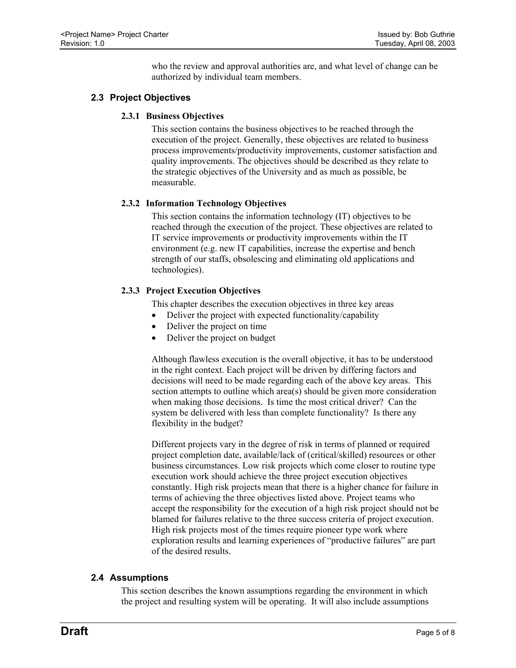who the review and approval authorities are, and what level of change can be authorized by individual team members.

# <span id="page-4-0"></span>**2.3 Project Objectives**

#### **2.3.1 Business Objectives**

This section contains the business objectives to be reached through the execution of the project. Generally, these objectives are related to business process improvements/productivity improvements, customer satisfaction and quality improvements. The objectives should be described as they relate to the strategic objectives of the University and as much as possible, be measurable.

#### **2.3.2 Information Technology Objectives**

This section contains the information technology (IT) objectives to be reached through the execution of the project. These objectives are related to IT service improvements or productivity improvements within the IT environment (e.g. new IT capabilities, increase the expertise and bench strength of our staffs, obsolescing and eliminating old applications and technologies).

#### **2.3.3 Project Execution Objectives**

This chapter describes the execution objectives in three key areas

- Deliver the project with expected functionality/capability
- Deliver the project on time
- Deliver the project on budget

Although flawless execution is the overall objective, it has to be understood in the right context. Each project will be driven by differing factors and decisions will need to be made regarding each of the above key areas. This section attempts to outline which area(s) should be given more consideration when making those decisions. Is time the most critical driver? Can the system be delivered with less than complete functionality? Is there any flexibility in the budget?

Different projects vary in the degree of risk in terms of planned or required project completion date, available/lack of (critical/skilled) resources or other business circumstances. Low risk projects which come closer to routine type execution work should achieve the three project execution objectives constantly. High risk projects mean that there is a higher chance for failure in terms of achieving the three objectives listed above. Project teams who accept the responsibility for the execution of a high risk project should not be blamed for failures relative to the three success criteria of project execution. High risk projects most of the times require pioneer type work where exploration results and learning experiences of "productive failures" are part of the desired results.

# **2.4 Assumptions**

This section describes the known assumptions regarding the environment in which the project and resulting system will be operating. It will also include assumptions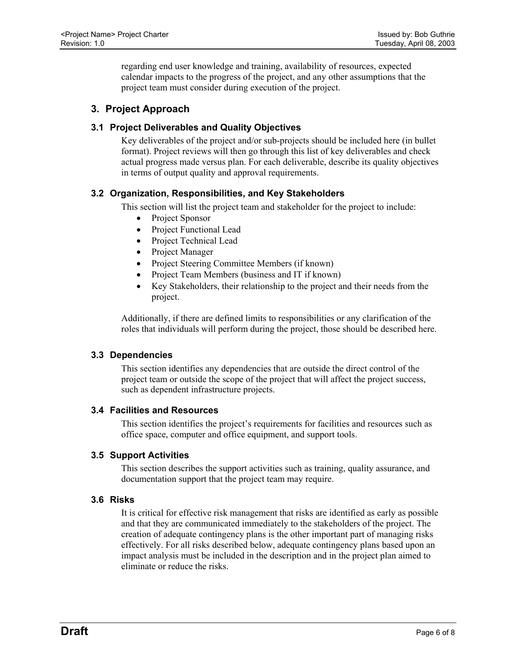<span id="page-5-0"></span>regarding end user knowledge and training, availability of resources, expected calendar impacts to the progress of the project, and any other assumptions that the project team must consider during execution of the project.

# **3. Project Approach**

#### **3.1 Project Deliverables and Quality Objectives**

Key deliverables of the project and/or sub-projects should be included here (in bullet format). Project reviews will then go through this list of key deliverables and check actual progress made versus plan. For each deliverable, describe its quality objectives in terms of output quality and approval requirements.

# **3.2 Organization, Responsibilities, and Key Stakeholders**

This section will list the project team and stakeholder for the project to include:

- Project Sponsor
- Project Functional Lead
- Project Technical Lead
- Project Manager
- Project Steering Committee Members (if known)
- Project Team Members (business and IT if known)
- Key Stakeholders, their relationship to the project and their needs from the project.

Additionally, if there are defined limits to responsibilities or any clarification of the roles that individuals will perform during the project, those should be described here.

#### **3.3 Dependencies**

This section identifies any dependencies that are outside the direct control of the project team or outside the scope of the project that will affect the project success, such as dependent infrastructure projects.

#### **3.4 Facilities and Resources**

This section identifies the project's requirements for facilities and resources such as office space, computer and office equipment, and support tools.

#### **3.5 Support Activities**

This section describes the support activities such as training, quality assurance, and documentation support that the project team may require.

#### **3.6 Risks**

It is critical for effective risk management that risks are identified as early as possible and that they are communicated immediately to the stakeholders of the project. The creation of adequate contingency plans is the other important part of managing risks effectively. For all risks described below, adequate contingency plans based upon an impact analysis must be included in the description and in the project plan aimed to eliminate or reduce the risks.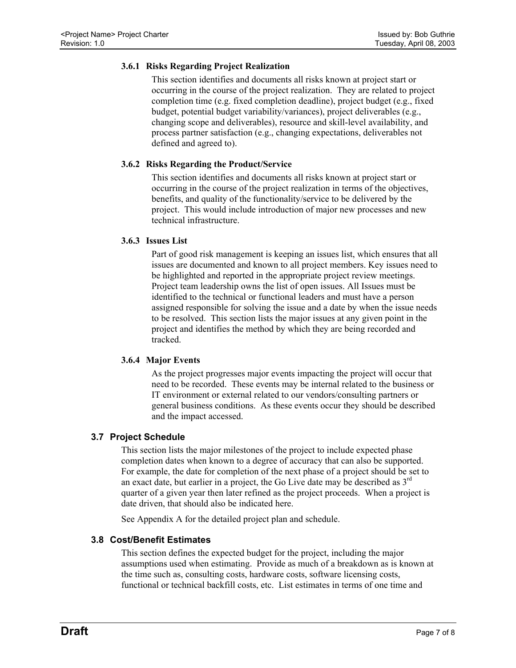#### <span id="page-6-0"></span>**3.6.1 Risks Regarding Project Realization**

This section identifies and documents all risks known at project start or occurring in the course of the project realization. They are related to project completion time (e.g. fixed completion deadline), project budget (e.g., fixed budget, potential budget variability/variances), project deliverables (e.g., changing scope and deliverables), resource and skill-level availability, and process partner satisfaction (e.g., changing expectations, deliverables not defined and agreed to).

#### **3.6.2 Risks Regarding the Product/Service**

This section identifies and documents all risks known at project start or occurring in the course of the project realization in terms of the objectives, benefits, and quality of the functionality/service to be delivered by the project. This would include introduction of major new processes and new technical infrastructure.

#### **3.6.3 Issues List**

Part of good risk management is keeping an issues list, which ensures that all issues are documented and known to all project members. Key issues need to be highlighted and reported in the appropriate project review meetings. Project team leadership owns the list of open issues. All Issues must be identified to the technical or functional leaders and must have a person assigned responsible for solving the issue and a date by when the issue needs to be resolved. This section lists the major issues at any given point in the project and identifies the method by which they are being recorded and tracked.

#### **3.6.4 Major Events**

As the project progresses major events impacting the project will occur that need to be recorded. These events may be internal related to the business or IT environment or external related to our vendors/consulting partners or general business conditions. As these events occur they should be described and the impact accessed.

#### **3.7 Project Schedule**

This section lists the major milestones of the project to include expected phase completion dates when known to a degree of accuracy that can also be supported. For example, the date for completion of the next phase of a project should be set to an exact date, but earlier in a project, the Go Live date may be described as  $3<sup>rd</sup>$ quarter of a given year then later refined as the project proceeds. When a project is date driven, that should also be indicated here.

See Appendix A for the detailed project plan and schedule.

#### **3.8 Cost/Benefit Estimates**

This section defines the expected budget for the project, including the major assumptions used when estimating. Provide as much of a breakdown as is known at the time such as, consulting costs, hardware costs, software licensing costs, functional or technical backfill costs, etc. List estimates in terms of one time and